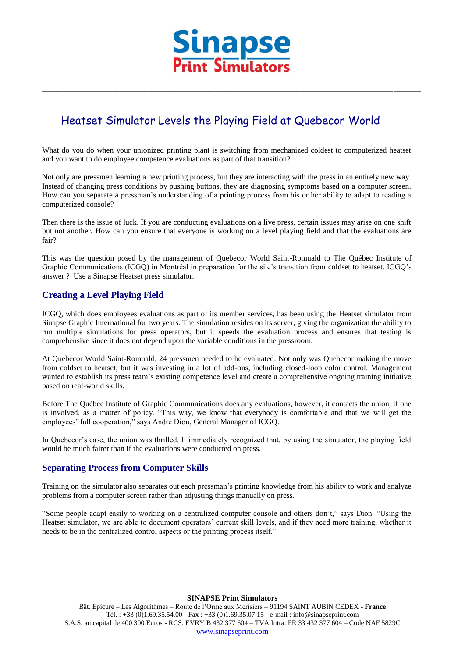

\_\_\_\_\_\_\_\_\_\_\_\_\_\_\_\_\_\_\_\_\_\_\_\_\_\_\_\_\_\_\_\_\_\_\_\_\_\_\_\_\_\_\_\_\_\_\_\_\_\_\_\_\_\_\_\_\_\_\_\_\_\_\_\_\_\_\_\_\_\_\_\_\_\_\_\_\_\_\_\_\_\_\_\_\_\_\_\_\_\_\_\_\_\_\_\_\_

# Heatset Simulator Levels the Playing Field at Quebecor World

What do you do when your unionized printing plant is switching from mechanized coldest to computerized heatset and you want to do employee competence evaluations as part of that transition?

Not only are pressmen learning a new printing process, but they are interacting with the press in an entirely new way. Instead of changing press conditions by pushing buttons, they are diagnosing symptoms based on a computer screen. How can you separate a pressman's understanding of a printing process from his or her ability to adapt to reading a computerized console?

Then there is the issue of luck. If you are conducting evaluations on a live press, certain issues may arise on one shift but not another. How can you ensure that everyone is working on a level playing field and that the evaluations are fair?

This was the question posed by the management of Quebecor World Saint-Romuald to The Québec Institute of Graphic Communications (ICGQ) in Montréal in preparation for the site's transition from coldset to heatset. ICGQ's answer ? Use a Sinapse Heatset press simulator.

### **Creating a Level Playing Field**

ICGQ, which does employees evaluations as part of its member services, has been using the Heatset simulator from Sinapse Graphic International for two years. The simulation resides on its server, giving the organization the ability to run multiple simulations for press operators, but it speeds the evaluation process and ensures that testing is comprehensive since it does not depend upon the variable conditions in the pressroom.

At Quebecor World Saint-Romuald, 24 pressmen needed to be evaluated. Not only was Quebecor making the move from coldset to heatset, but it was investing in a lot of add-ons, including closed-loop color control. Management wanted to establish its press team's existing competence level and create a comprehensive ongoing training initiative based on real-world skills.

Before The Québec Institute of Graphic Communications does any evaluations, however, it contacts the union, if one is involved, as a matter of policy. "This way, we know that everybody is comfortable and that we will get the employees' full cooperation," says André Dion, General Manager of ICGQ.

In Quebecor's case, the union was thrilled. It immediately recognized that, by using the simulator, the playing field would be much fairer than if the evaluations were conducted on press.

### **Separating Process from Computer Skills**

Training on the simulator also separates out each pressman's printing knowledge from his ability to work and analyze problems from a computer screen rather than adjusting things manually on press.

"Some people adapt easily to working on a centralized computer console and others don't," says Dion. "Using the Heatset simulator, we are able to document operators' current skill levels, and if they need more training, whether it needs to be in the centralized control aspects or the printing process itself."

**SINAPSE Print Simulators**

Bât. Epicure – Les Algorithmes – Route de l'Orme aux Merisiers – 91194 SAINT AUBIN CEDEX - **France** Tél. : +33 (0)1.69.35.54.00 - Fax : +33 (0)1.69.35.07.15 - e-mail : info@sinapseprint.com S.A.S. au capital de 400 300 Euros - RCS. EVRY B 432 377 604 – TVA Intra. FR 33 432 377 604 – Code NAF 5829C [www.sinapseprint.com](http://www.sinapseprint.com/)